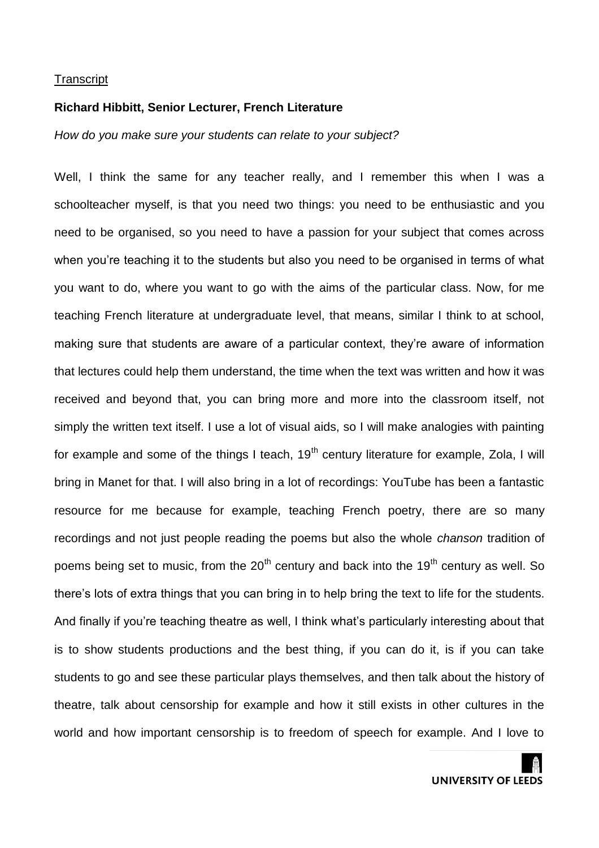### **Richard Hibbitt, Senior Lecturer, French Literature**

*How do you make sure your students can relate to your subject?*

Well, I think the same for any teacher really, and I remember this when I was a schoolteacher myself, is that you need two things: you need to be enthusiastic and you need to be organised, so you need to have a passion for your subject that comes across when you're teaching it to the students but also you need to be organised in terms of what you want to do, where you want to go with the aims of the particular class. Now, for me teaching French literature at undergraduate level, that means, similar I think to at school, making sure that students are aware of a particular context, they're aware of information that lectures could help them understand, the time when the text was written and how it was received and beyond that, you can bring more and more into the classroom itself, not simply the written text itself. I use a lot of visual aids, so I will make analogies with painting for example and some of the things I teach,  $19<sup>th</sup>$  century literature for example, Zola, I will bring in Manet for that. I will also bring in a lot of recordings: YouTube has been a fantastic resource for me because for example, teaching French poetry, there are so many recordings and not just people reading the poems but also the whole *chanson* tradition of poems being set to music, from the  $20<sup>th</sup>$  century and back into the 19<sup>th</sup> century as well. So there's lots of extra things that you can bring in to help bring the text to life for the students. And finally if you're teaching theatre as well, I think what's particularly interesting about that is to show students productions and the best thing, if you can do it, is if you can take students to go and see these particular plays themselves, and then talk about the history of theatre, talk about censorship for example and how it still exists in other cultures in the world and how important censorship is to freedom of speech for example. And I love to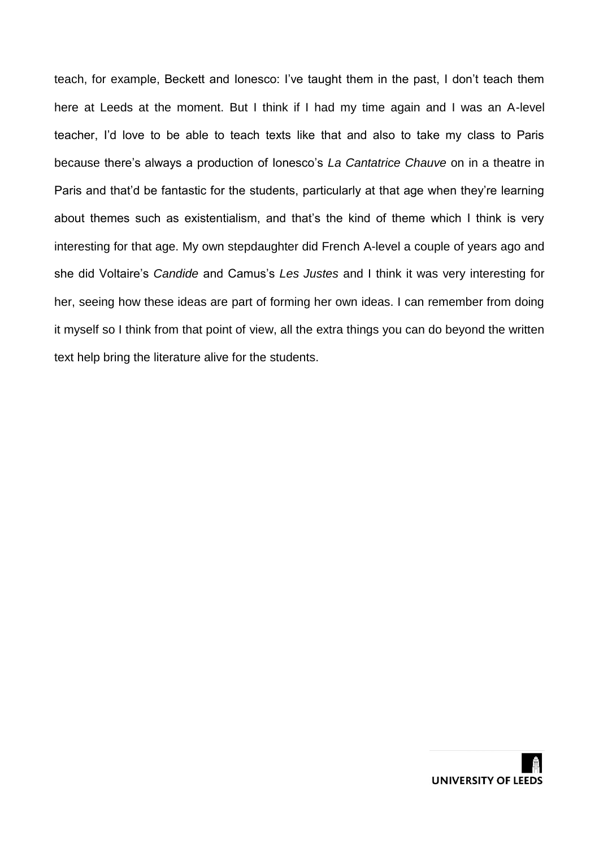teach, for example, Beckett and Ionesco: I've taught them in the past, I don't teach them here at Leeds at the moment. But I think if I had my time again and I was an A-level teacher, I'd love to be able to teach texts like that and also to take my class to Paris because there's always a production of Ionesco's *La Cantatrice Chauve* on in a theatre in Paris and that'd be fantastic for the students, particularly at that age when they're learning about themes such as existentialism, and that's the kind of theme which I think is very interesting for that age. My own stepdaughter did French A-level a couple of years ago and she did Voltaire's *Candide* and Camus's *Les Justes* and I think it was very interesting for her, seeing how these ideas are part of forming her own ideas. I can remember from doing it myself so I think from that point of view, all the extra things you can do beyond the written text help bring the literature alive for the students.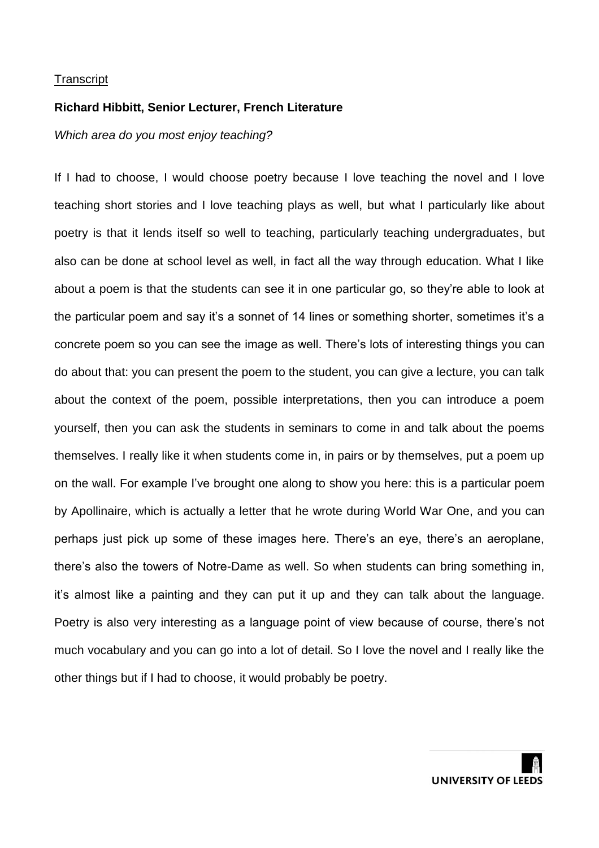### **Richard Hibbitt, Senior Lecturer, French Literature**

# *Which area do you most enjoy teaching?*

If I had to choose, I would choose poetry because I love teaching the novel and I love teaching short stories and I love teaching plays as well, but what I particularly like about poetry is that it lends itself so well to teaching, particularly teaching undergraduates, but also can be done at school level as well, in fact all the way through education. What I like about a poem is that the students can see it in one particular go, so they're able to look at the particular poem and say it's a sonnet of 14 lines or something shorter, sometimes it's a concrete poem so you can see the image as well. There's lots of interesting things you can do about that: you can present the poem to the student, you can give a lecture, you can talk about the context of the poem, possible interpretations, then you can introduce a poem yourself, then you can ask the students in seminars to come in and talk about the poems themselves. I really like it when students come in, in pairs or by themselves, put a poem up on the wall. For example I've brought one along to show you here: this is a particular poem by Apollinaire, which is actually a letter that he wrote during World War One, and you can perhaps just pick up some of these images here. There's an eye, there's an aeroplane, there's also the towers of Notre-Dame as well. So when students can bring something in, it's almost like a painting and they can put it up and they can talk about the language. Poetry is also very interesting as a language point of view because of course, there's not much vocabulary and you can go into a lot of detail. So I love the novel and I really like the other things but if I had to choose, it would probably be poetry.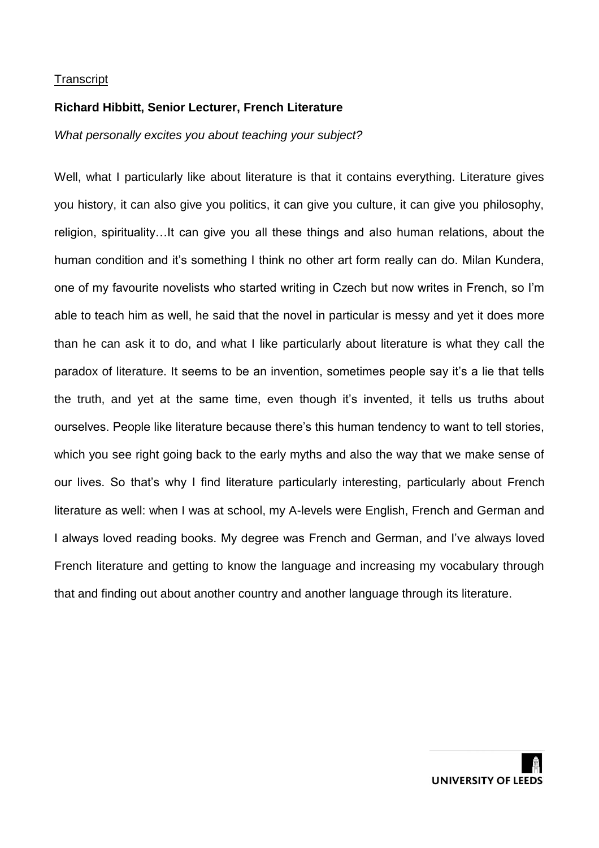### **Richard Hibbitt, Senior Lecturer, French Literature**

*What personally excites you about teaching your subject?*

Well, what I particularly like about literature is that it contains everything. Literature gives you history, it can also give you politics, it can give you culture, it can give you philosophy, religion, spirituality…It can give you all these things and also human relations, about the human condition and it's something I think no other art form really can do. Milan Kundera, one of my favourite novelists who started writing in Czech but now writes in French, so I'm able to teach him as well, he said that the novel in particular is messy and yet it does more than he can ask it to do, and what I like particularly about literature is what they call the paradox of literature. It seems to be an invention, sometimes people say it's a lie that tells the truth, and yet at the same time, even though it's invented, it tells us truths about ourselves. People like literature because there's this human tendency to want to tell stories, which you see right going back to the early myths and also the way that we make sense of our lives. So that's why I find literature particularly interesting, particularly about French literature as well: when I was at school, my A-levels were English, French and German and I always loved reading books. My degree was French and German, and I've always loved French literature and getting to know the language and increasing my vocabulary through that and finding out about another country and another language through its literature.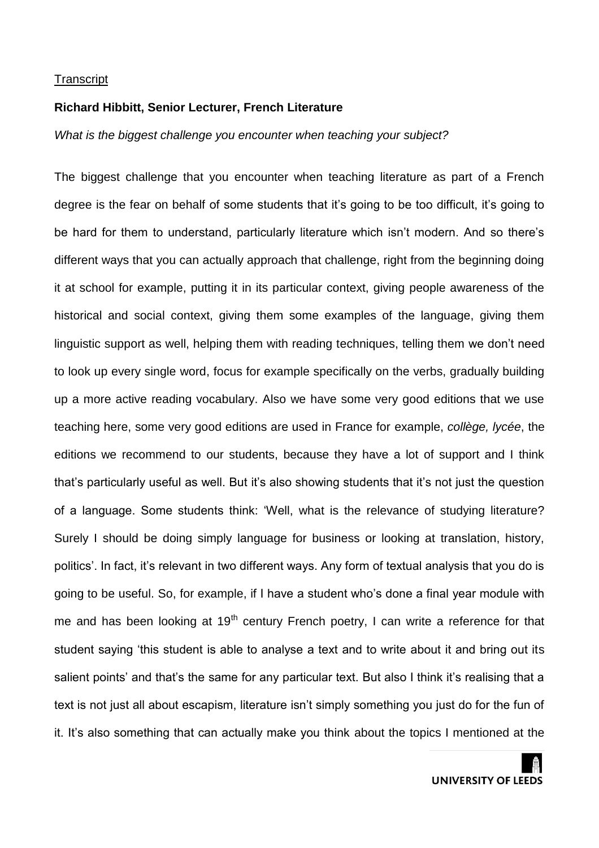# **Richard Hibbitt, Senior Lecturer, French Literature**

*What is the biggest challenge you encounter when teaching your subject?*

The biggest challenge that you encounter when teaching literature as part of a French degree is the fear on behalf of some students that it's going to be too difficult, it's going to be hard for them to understand, particularly literature which isn't modern. And so there's different ways that you can actually approach that challenge, right from the beginning doing it at school for example, putting it in its particular context, giving people awareness of the historical and social context, giving them some examples of the language, giving them linguistic support as well, helping them with reading techniques, telling them we don't need to look up every single word, focus for example specifically on the verbs, gradually building up a more active reading vocabulary. Also we have some very good editions that we use teaching here, some very good editions are used in France for example, *collège, lycée*, the editions we recommend to our students, because they have a lot of support and I think that's particularly useful as well. But it's also showing students that it's not just the question of a language. Some students think: 'Well, what is the relevance of studying literature? Surely I should be doing simply language for business or looking at translation, history, politics'. In fact, it's relevant in two different ways. Any form of textual analysis that you do is going to be useful. So, for example, if I have a student who's done a final year module with me and has been looking at 19<sup>th</sup> century French poetry, I can write a reference for that student saying 'this student is able to analyse a text and to write about it and bring out its salient points' and that's the same for any particular text. But also I think it's realising that a text is not just all about escapism, literature isn't simply something you just do for the fun of it. It's also something that can actually make you think about the topics I mentioned at the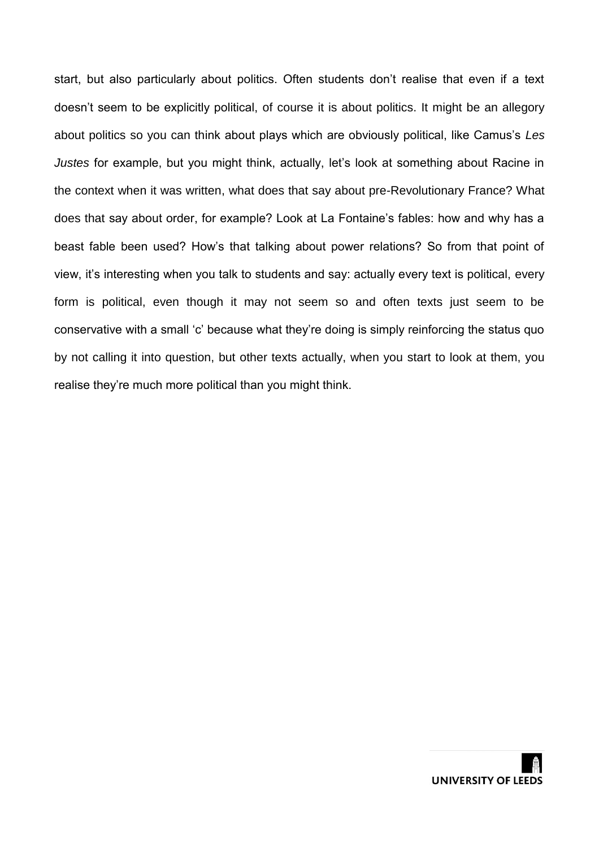start, but also particularly about politics. Often students don't realise that even if a text doesn't seem to be explicitly political, of course it is about politics. It might be an allegory about politics so you can think about plays which are obviously political, like Camus's *Les Justes* for example, but you might think, actually, let's look at something about Racine in the context when it was written, what does that say about pre-Revolutionary France? What does that say about order, for example? Look at La Fontaine's fables: how and why has a beast fable been used? How's that talking about power relations? So from that point of view, it's interesting when you talk to students and say: actually every text is political, every form is political, even though it may not seem so and often texts just seem to be conservative with a small 'c' because what they're doing is simply reinforcing the status quo by not calling it into question, but other texts actually, when you start to look at them, you realise they're much more political than you might think.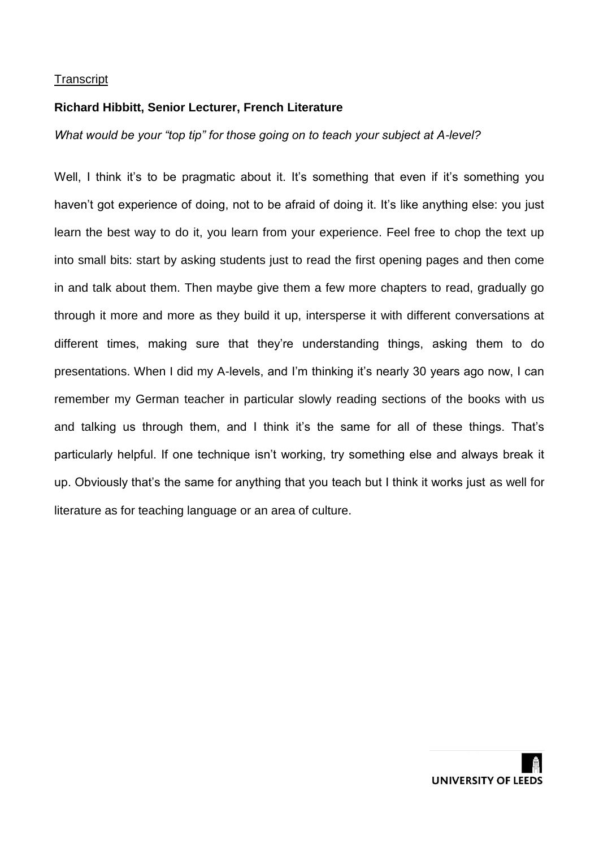# **Richard Hibbitt, Senior Lecturer, French Literature**

*What would be your "top tip" for those going on to teach your subject at A-level?*

Well, I think it's to be pragmatic about it. It's something that even if it's something you haven't got experience of doing, not to be afraid of doing it. It's like anything else: you just learn the best way to do it, you learn from your experience. Feel free to chop the text up into small bits: start by asking students just to read the first opening pages and then come in and talk about them. Then maybe give them a few more chapters to read, gradually go through it more and more as they build it up, intersperse it with different conversations at different times, making sure that they're understanding things, asking them to do presentations. When I did my A-levels, and I'm thinking it's nearly 30 years ago now, I can remember my German teacher in particular slowly reading sections of the books with us and talking us through them, and I think it's the same for all of these things. That's particularly helpful. If one technique isn't working, try something else and always break it up. Obviously that's the same for anything that you teach but I think it works just as well for literature as for teaching language or an area of culture.